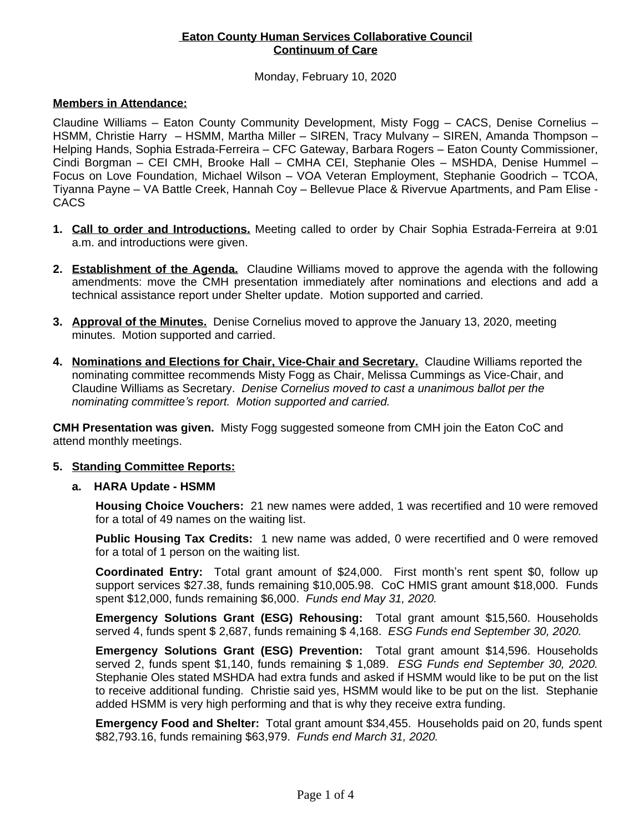## **Eaton County Human Services Collaborative Council Continuum of Care**

### Monday, February 10, 2020

### **Members in Attendance:**

Claudine Williams – Eaton County Community Development, Misty Fogg – CACS, Denise Cornelius – HSMM, Christie Harry – HSMM, Martha Miller – SIREN, Tracy Mulvany – SIREN, Amanda Thompson – Helping Hands, Sophia Estrada-Ferreira – CFC Gateway, Barbara Rogers – Eaton County Commissioner, Cindi Borgman – CEI CMH, Brooke Hall – CMHA CEI, Stephanie Oles – MSHDA, Denise Hummel – Focus on Love Foundation, Michael Wilson – VOA Veteran Employment, Stephanie Goodrich – TCOA, Tiyanna Payne – VA Battle Creek, Hannah Coy – Bellevue Place & Rivervue Apartments, and Pam Elise - **CACS** 

- **1. Call to order and Introductions.** Meeting called to order by Chair Sophia Estrada-Ferreira at 9:01 a.m. and introductions were given.
- **2. Establishment of the Agenda.** Claudine Williams moved to approve the agenda with the following amendments: move the CMH presentation immediately after nominations and elections and add a technical assistance report under Shelter update. Motion supported and carried.
- **3. Approval of the Minutes.** Denise Cornelius moved to approve the January 13, 2020, meeting minutes. Motion supported and carried.
- **4. Nominations and Elections for Chair, Vice-Chair and Secretary.** Claudine Williams reported the nominating committee recommends Misty Fogg as Chair, Melissa Cummings as Vice-Chair, and Claudine Williams as Secretary. *Denise Cornelius moved to cast a unanimous ballot per the nominating committee's report. Motion supported and carried.*

**CMH Presentation was given.** Misty Fogg suggested someone from CMH join the Eaton CoC and attend monthly meetings.

### **5. Standing Committee Reports:**

### **a. HARA Update - HSMM**

**Housing Choice Vouchers:** 21 new names were added, 1 was recertified and 10 were removed for a total of 49 names on the waiting list.

**Public Housing Tax Credits:** 1 new name was added, 0 were recertified and 0 were removed for a total of 1 person on the waiting list.

**Coordinated Entry:** Total grant amount of \$24,000. First month's rent spent \$0, follow up support services \$27.38, funds remaining \$10,005.98. CoC HMIS grant amount \$18,000. Funds spent \$12,000, funds remaining \$6,000. *Funds end May 31, 2020.*

**Emergency Solutions Grant (ESG) Rehousing:** Total grant amount \$15,560. Households served 4, funds spent \$ 2,687, funds remaining \$ 4,168. *ESG Funds end September 30, 2020.*

**Emergency Solutions Grant (ESG) Prevention:** Total grant amount \$14,596. Households served 2, funds spent \$1,140, funds remaining \$ 1,089. *ESG Funds end September 30, 2020.* Stephanie Oles stated MSHDA had extra funds and asked if HSMM would like to be put on the list to receive additional funding. Christie said yes, HSMM would like to be put on the list. Stephanie added HSMM is very high performing and that is why they receive extra funding.

**Emergency Food and Shelter:** Total grant amount \$34,455. Households paid on 20, funds spent \$82,793.16, funds remaining \$63,979. *Funds end March 31, 2020.*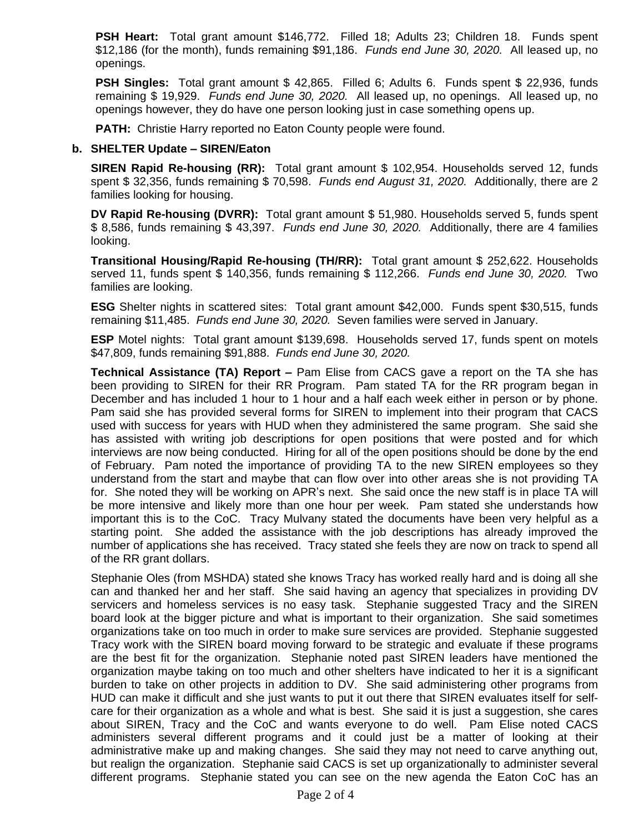**PSH Heart:** Total grant amount \$146,772. Filled 18; Adults 23; Children 18. Funds spent \$12,186 (for the month), funds remaining \$91,186. *Funds end June 30, 2020.* All leased up, no openings.

**PSH Singles:** Total grant amount \$ 42,865. Filled 6; Adults 6. Funds spent \$ 22,936, funds remaining \$ 19,929. *Funds end June 30, 2020.* All leased up, no openings. All leased up, no openings however, they do have one person looking just in case something opens up.

**PATH:** Christie Harry reported no Eaton County people were found.

## **b. SHELTER Update – SIREN/Eaton**

**SIREN Rapid Re-housing (RR):** Total grant amount \$ 102,954. Households served 12, funds spent \$ 32,356, funds remaining \$ 70,598. *Funds end August 31, 2020.* Additionally, there are 2 families looking for housing.

**DV Rapid Re-housing (DVRR):** Total grant amount \$ 51,980. Households served 5, funds spent \$ 8,586, funds remaining \$ 43,397. *Funds end June 30, 2020.* Additionally, there are 4 families looking.

**Transitional Housing/Rapid Re-housing (TH/RR):** Total grant amount \$ 252,622. Households served 11, funds spent \$ 140,356, funds remaining \$ 112,266. *Funds end June 30, 2020.* Two families are looking.

**ESG** Shelter nights in scattered sites: Total grant amount \$42,000. Funds spent \$30,515, funds remaining \$11,485. *Funds end June 30, 2020.* Seven families were served in January.

**ESP** Motel nights: Total grant amount \$139,698. Households served 17, funds spent on motels \$47,809, funds remaining \$91,888. *Funds end June 30, 2020.*

**Technical Assistance (TA) Report –** Pam Elise from CACS gave a report on the TA she has been providing to SIREN for their RR Program. Pam stated TA for the RR program began in December and has included 1 hour to 1 hour and a half each week either in person or by phone. Pam said she has provided several forms for SIREN to implement into their program that CACS used with success for years with HUD when they administered the same program. She said she has assisted with writing job descriptions for open positions that were posted and for which interviews are now being conducted. Hiring for all of the open positions should be done by the end of February. Pam noted the importance of providing TA to the new SIREN employees so they understand from the start and maybe that can flow over into other areas she is not providing TA for. She noted they will be working on APR's next. She said once the new staff is in place TA will be more intensive and likely more than one hour per week. Pam stated she understands how important this is to the CoC. Tracy Mulvany stated the documents have been very helpful as a starting point. She added the assistance with the job descriptions has already improved the number of applications she has received. Tracy stated she feels they are now on track to spend all of the RR grant dollars.

Stephanie Oles (from MSHDA) stated she knows Tracy has worked really hard and is doing all she can and thanked her and her staff. She said having an agency that specializes in providing DV servicers and homeless services is no easy task. Stephanie suggested Tracy and the SIREN board look at the bigger picture and what is important to their organization. She said sometimes organizations take on too much in order to make sure services are provided. Stephanie suggested Tracy work with the SIREN board moving forward to be strategic and evaluate if these programs are the best fit for the organization. Stephanie noted past SIREN leaders have mentioned the organization maybe taking on too much and other shelters have indicated to her it is a significant burden to take on other projects in addition to DV. She said administering other programs from HUD can make it difficult and she just wants to put it out there that SIREN evaluates itself for selfcare for their organization as a whole and what is best. She said it is just a suggestion, she cares about SIREN, Tracy and the CoC and wants everyone to do well. Pam Elise noted CACS administers several different programs and it could just be a matter of looking at their administrative make up and making changes. She said they may not need to carve anything out, but realign the organization. Stephanie said CACS is set up organizationally to administer several different programs. Stephanie stated you can see on the new agenda the Eaton CoC has an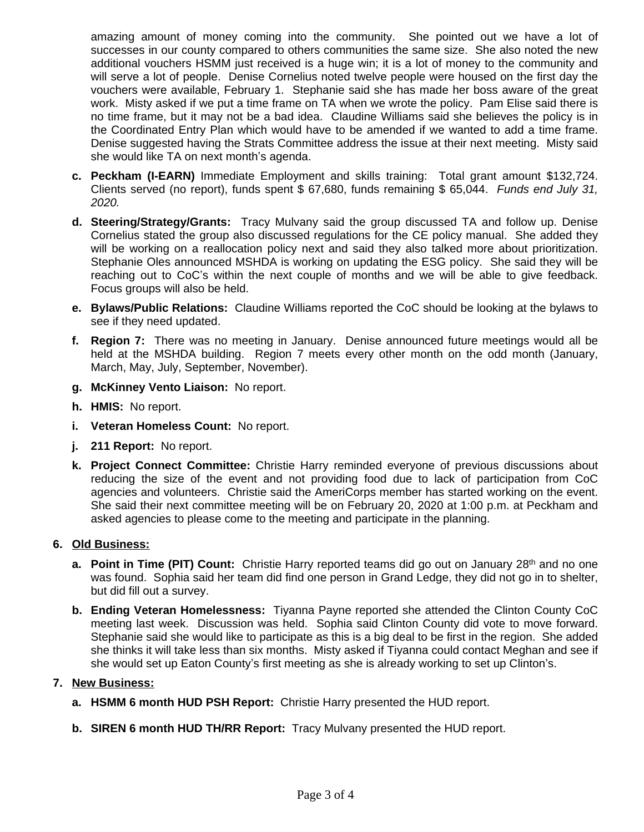amazing amount of money coming into the community. She pointed out we have a lot of successes in our county compared to others communities the same size. She also noted the new additional vouchers HSMM just received is a huge win; it is a lot of money to the community and will serve a lot of people. Denise Cornelius noted twelve people were housed on the first day the vouchers were available, February 1. Stephanie said she has made her boss aware of the great work. Misty asked if we put a time frame on TA when we wrote the policy. Pam Elise said there is no time frame, but it may not be a bad idea. Claudine Williams said she believes the policy is in the Coordinated Entry Plan which would have to be amended if we wanted to add a time frame. Denise suggested having the Strats Committee address the issue at their next meeting. Misty said she would like TA on next month's agenda.

- **c. Peckham (I-EARN)** Immediate Employment and skills training: Total grant amount \$132,724. Clients served (no report), funds spent \$ 67,680, funds remaining \$ 65,044. *Funds end July 31, 2020.*
- **d. Steering/Strategy/Grants:** Tracy Mulvany said the group discussed TA and follow up. Denise Cornelius stated the group also discussed regulations for the CE policy manual. She added they will be working on a reallocation policy next and said they also talked more about prioritization. Stephanie Oles announced MSHDA is working on updating the ESG policy. She said they will be reaching out to CoC's within the next couple of months and we will be able to give feedback. Focus groups will also be held.
- **e. Bylaws/Public Relations:** Claudine Williams reported the CoC should be looking at the bylaws to see if they need updated.
- **f. Region 7:** There was no meeting in January. Denise announced future meetings would all be held at the MSHDA building. Region 7 meets every other month on the odd month (January, March, May, July, September, November).
- **g. McKinney Vento Liaison:** No report.
- **h. HMIS:** No report.
- **i. Veteran Homeless Count:** No report.
- **j. 211 Report:** No report.
- **k. Project Connect Committee:** Christie Harry reminded everyone of previous discussions about reducing the size of the event and not providing food due to lack of participation from CoC agencies and volunteers. Christie said the AmeriCorps member has started working on the event. She said their next committee meeting will be on February 20, 2020 at 1:00 p.m. at Peckham and asked agencies to please come to the meeting and participate in the planning.

# **6. Old Business:**

- **a. Point in Time (PIT) Count:** Christie Harry reported teams did go out on January 28<sup>th</sup> and no one was found. Sophia said her team did find one person in Grand Ledge, they did not go in to shelter, but did fill out a survey.
- **b. Ending Veteran Homelessness:** Tiyanna Payne reported she attended the Clinton County CoC meeting last week. Discussion was held. Sophia said Clinton County did vote to move forward. Stephanie said she would like to participate as this is a big deal to be first in the region. She added she thinks it will take less than six months. Misty asked if Tiyanna could contact Meghan and see if she would set up Eaton County's first meeting as she is already working to set up Clinton's.

# **7. New Business:**

- **a. HSMM 6 month HUD PSH Report:** Christie Harry presented the HUD report.
- **b. SIREN 6 month HUD TH/RR Report:** Tracy Mulvany presented the HUD report.